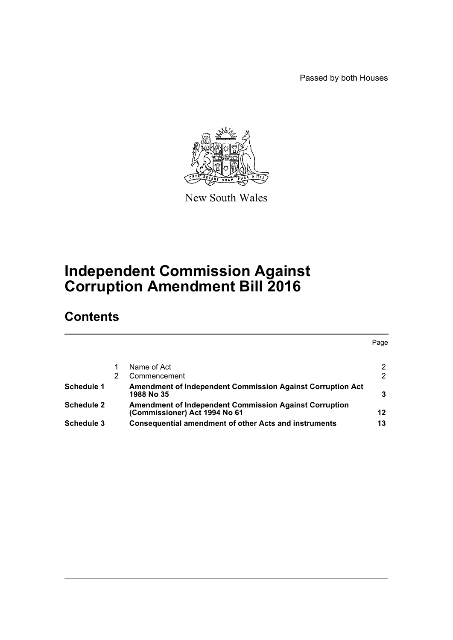Passed by both Houses



New South Wales

# **Independent Commission Against Corruption Amendment Bill 2016**

# **Contents**

|                   |   |                                                                                                | Page |
|-------------------|---|------------------------------------------------------------------------------------------------|------|
|                   |   |                                                                                                |      |
|                   |   | Name of Act                                                                                    |      |
|                   | 2 | Commencement                                                                                   | 2    |
| Schedule 1        |   | <b>Amendment of Independent Commission Against Corruption Act</b><br>1988 No 35                |      |
| <b>Schedule 2</b> |   | <b>Amendment of Independent Commission Against Corruption</b><br>(Commissioner) Act 1994 No 61 | 12   |
| Schedule 3        |   | <b>Consequential amendment of other Acts and instruments</b>                                   | 13   |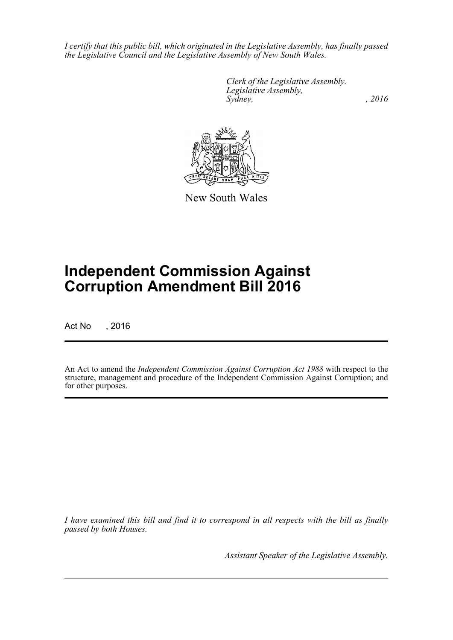*I certify that this public bill, which originated in the Legislative Assembly, has finally passed the Legislative Council and the Legislative Assembly of New South Wales.*

> *Clerk of the Legislative Assembly. Legislative Assembly, Sydney,* , 2016



New South Wales

# **Independent Commission Against Corruption Amendment Bill 2016**

Act No , 2016

An Act to amend the *Independent Commission Against Corruption Act 1988* with respect to the structure, management and procedure of the Independent Commission Against Corruption; and for other purposes.

*I have examined this bill and find it to correspond in all respects with the bill as finally passed by both Houses.*

*Assistant Speaker of the Legislative Assembly.*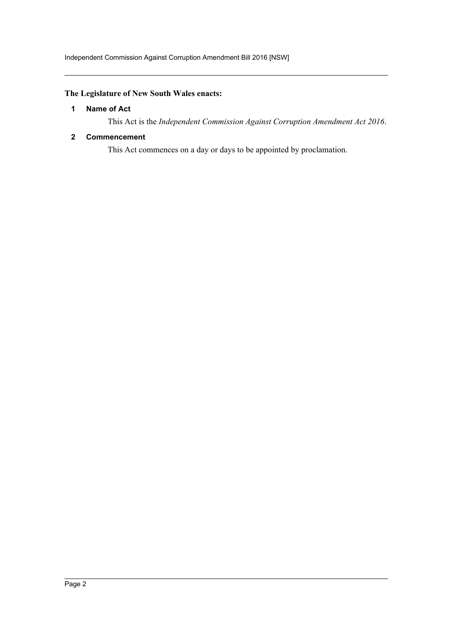# <span id="page-2-0"></span>**The Legislature of New South Wales enacts:**

#### **1 Name of Act**

This Act is the *Independent Commission Against Corruption Amendment Act 2016*.

#### <span id="page-2-1"></span>**2 Commencement**

This Act commences on a day or days to be appointed by proclamation.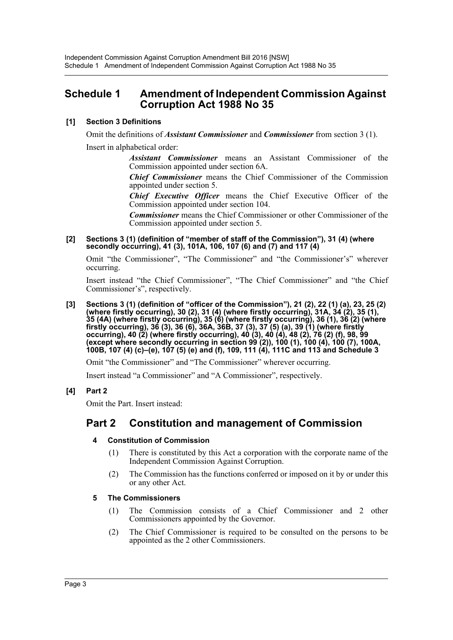# <span id="page-3-0"></span>**Schedule 1 Amendment of Independent Commission Against Corruption Act 1988 No 35**

## **[1] Section 3 Definitions**

Omit the definitions of *Assistant Commissioner* and *Commissioner* from section 3 (1). Insert in alphabetical order:

> *Assistant Commissioner* means an Assistant Commissioner of the Commission appointed under section 6A.

> *Chief Commissioner* means the Chief Commissioner of the Commission appointed under section 5.

> *Chief Executive Officer* means the Chief Executive Officer of the Commission appointed under section 104.

> *Commissioner* means the Chief Commissioner or other Commissioner of the Commission appointed under section 5.

#### **[2] Sections 3 (1) (definition of "member of staff of the Commission"), 31 (4) (where secondly occurring), 41 (3), 101A, 106, 107 (6) and (7) and 117 (4)**

Omit "the Commissioner", "The Commissioner" and "the Commissioner's" wherever occurring.

Insert instead "the Chief Commissioner", "The Chief Commissioner" and "the Chief Commissioner's", respectively.

**[3] Sections 3 (1) (definition of "officer of the Commission"), 21 (2), 22 (1) (a), 23, 25 (2) (where firstly occurring), 30 (2), 31 (4) (where firstly occurring), 31A, 34 (2), 35 (1), 35 (4A) (where firstly occurring), 35 (6) (where firstly occurring), 36 (1), 36 (2) (where firstly occurring), 36 (3), 36 (6), 36A, 36B, 37 (3), 37 (5) (a), 39 (1) (where firstly occurring), 40 (2) (where firstly occurring), 40 (3), 40 (4), 48 (2), 76 (2) (f), 98, 99 (except where secondly occurring in section 99 (2)), 100 (1), 100 (4), 100 (7), 100A, 100B, 107 (4) (c)–(e), 107 (5) (e) and (f), 109, 111 (4), 111C and 113 and Schedule 3**

Omit "the Commissioner" and "The Commissioner" wherever occurring.

Insert instead "a Commissioner" and "A Commissioner", respectively.

## **[4] Part 2**

Omit the Part. Insert instead:

# **Part 2 Constitution and management of Commission**

## **4 Constitution of Commission**

- (1) There is constituted by this Act a corporation with the corporate name of the Independent Commission Against Corruption.
- (2) The Commission has the functions conferred or imposed on it by or under this or any other Act.

## **5 The Commissioners**

- (1) The Commission consists of a Chief Commissioner and 2 other Commissioners appointed by the Governor.
- (2) The Chief Commissioner is required to be consulted on the persons to be appointed as the 2 other Commissioners.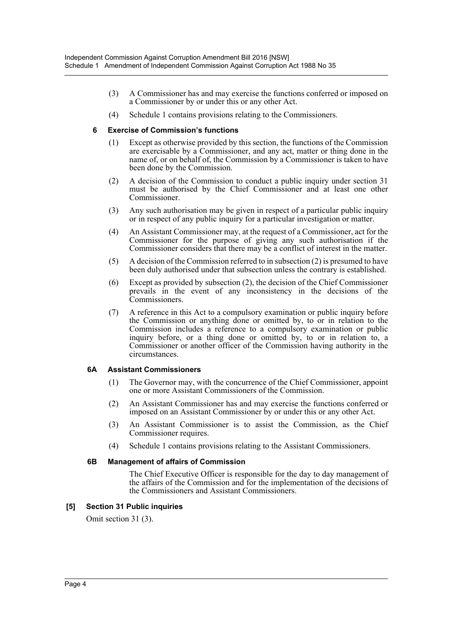- (3) A Commissioner has and may exercise the functions conferred or imposed on a Commissioner by or under this or any other Act.
- (4) Schedule 1 contains provisions relating to the Commissioners.

#### **6 Exercise of Commission's functions**

- (1) Except as otherwise provided by this section, the functions of the Commission are exercisable by a Commissioner, and any act, matter or thing done in the name of, or on behalf of, the Commission by a Commissioner is taken to have been done by the Commission.
- (2) A decision of the Commission to conduct a public inquiry under section 31 must be authorised by the Chief Commissioner and at least one other Commissioner.
- (3) Any such authorisation may be given in respect of a particular public inquiry or in respect of any public inquiry for a particular investigation or matter.
- (4) An Assistant Commissioner may, at the request of a Commissioner, act for the Commissioner for the purpose of giving any such authorisation if the Commissioner considers that there may be a conflict of interest in the matter.
- (5) A decision of the Commission referred to in subsection (2) is presumed to have been duly authorised under that subsection unless the contrary is established.
- (6) Except as provided by subsection (2), the decision of the Chief Commissioner prevails in the event of any inconsistency in the decisions of the Commissioners.
- (7) A reference in this Act to a compulsory examination or public inquiry before the Commission or anything done or omitted by, to or in relation to the Commission includes a reference to a compulsory examination or public inquiry before, or a thing done or omitted by, to or in relation to, a Commissioner or another officer of the Commission having authority in the circumstances.

#### **6A Assistant Commissioners**

- (1) The Governor may, with the concurrence of the Chief Commissioner, appoint one or more Assistant Commissioners of the Commission.
- (2) An Assistant Commissioner has and may exercise the functions conferred or imposed on an Assistant Commissioner by or under this or any other Act.
- (3) An Assistant Commissioner is to assist the Commission, as the Chief Commissioner requires.
- (4) Schedule 1 contains provisions relating to the Assistant Commissioners.

#### **6B Management of affairs of Commission**

The Chief Executive Officer is responsible for the day to day management of the affairs of the Commission and for the implementation of the decisions of the Commissioners and Assistant Commissioners.

#### **[5] Section 31 Public inquiries**

Omit section 31 (3).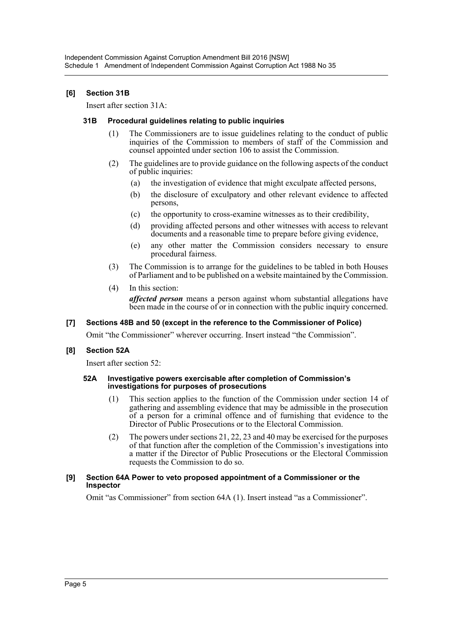#### **[6] Section 31B**

Insert after section 31A:

#### **31B Procedural guidelines relating to public inquiries**

- (1) The Commissioners are to issue guidelines relating to the conduct of public inquiries of the Commission to members of staff of the Commission and counsel appointed under section 106 to assist the Commission.
- (2) The guidelines are to provide guidance on the following aspects of the conduct of public inquiries:
	- (a) the investigation of evidence that might exculpate affected persons,
	- (b) the disclosure of exculpatory and other relevant evidence to affected persons,
	- (c) the opportunity to cross-examine witnesses as to their credibility,
	- (d) providing affected persons and other witnesses with access to relevant documents and a reasonable time to prepare before giving evidence,
	- (e) any other matter the Commission considers necessary to ensure procedural fairness.
- (3) The Commission is to arrange for the guidelines to be tabled in both Houses of Parliament and to be published on a website maintained by the Commission.
- (4) In this section:

*affected person* means a person against whom substantial allegations have been made in the course of or in connection with the public inquiry concerned.

#### **[7] Sections 48B and 50 (except in the reference to the Commissioner of Police)**

Omit "the Commissioner" wherever occurring. Insert instead "the Commission".

#### **[8] Section 52A**

Insert after section 52:

#### **52A Investigative powers exercisable after completion of Commission's investigations for purposes of prosecutions**

- (1) This section applies to the function of the Commission under section 14 of gathering and assembling evidence that may be admissible in the prosecution of a person for a criminal offence and of furnishing that evidence to the Director of Public Prosecutions or to the Electoral Commission.
- (2) The powers under sections 21, 22, 23 and 40 may be exercised for the purposes of that function after the completion of the Commission's investigations into a matter if the Director of Public Prosecutions or the Electoral Commission requests the Commission to do so.

#### **[9] Section 64A Power to veto proposed appointment of a Commissioner or the Inspector**

Omit "as Commissioner" from section 64A (1). Insert instead "as a Commissioner".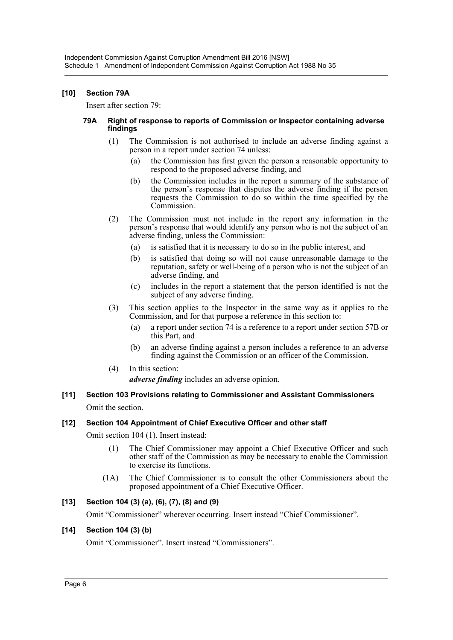#### **[10] Section 79A**

Insert after section 79:

#### **79A Right of response to reports of Commission or Inspector containing adverse findings**

- (1) The Commission is not authorised to include an adverse finding against a person in a report under section 74 unless:
	- (a) the Commission has first given the person a reasonable opportunity to respond to the proposed adverse finding, and
	- (b) the Commission includes in the report a summary of the substance of the person's response that disputes the adverse finding if the person requests the Commission to do so within the time specified by the Commission.
- (2) The Commission must not include in the report any information in the person's response that would identify any person who is not the subject of an adverse finding, unless the Commission:
	- (a) is satisfied that it is necessary to do so in the public interest, and
	- (b) is satisfied that doing so will not cause unreasonable damage to the reputation, safety or well-being of a person who is not the subject of an adverse finding, and
	- (c) includes in the report a statement that the person identified is not the subject of any adverse finding.
- (3) This section applies to the Inspector in the same way as it applies to the Commission, and for that purpose a reference in this section to:
	- (a) a report under section 74 is a reference to a report under section 57B or this Part, and
	- (b) an adverse finding against a person includes a reference to an adverse finding against the Commission or an officer of the Commission.
- (4) In this section:

*adverse finding* includes an adverse opinion.

## **[11] Section 103 Provisions relating to Commissioner and Assistant Commissioners** Omit the section.

## **[12] Section 104 Appointment of Chief Executive Officer and other staff**

Omit section 104 (1). Insert instead:

- (1) The Chief Commissioner may appoint a Chief Executive Officer and such other staff of the Commission as may be necessary to enable the Commission to exercise its functions.
- (1A) The Chief Commissioner is to consult the other Commissioners about the proposed appointment of a Chief Executive Officer.

## **[13] Section 104 (3) (a), (6), (7), (8) and (9)**

Omit "Commissioner" wherever occurring. Insert instead "Chief Commissioner".

## **[14] Section 104 (3) (b)**

Omit "Commissioner". Insert instead "Commissioners".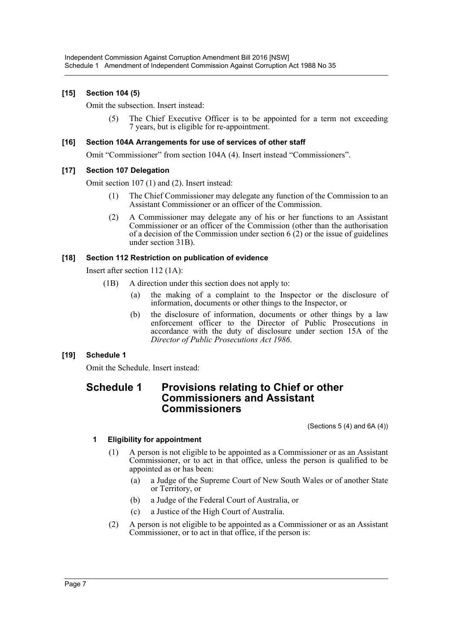## **[15] Section 104 (5)**

Omit the subsection. Insert instead:

(5) The Chief Executive Officer is to be appointed for a term not exceeding 7 years, but is eligible for re-appointment.

#### **[16] Section 104A Arrangements for use of services of other staff**

Omit "Commissioner" from section 104A (4). Insert instead "Commissioners".

#### **[17] Section 107 Delegation**

Omit section 107 (1) and (2). Insert instead:

- (1) The Chief Commissioner may delegate any function of the Commission to an Assistant Commissioner or an officer of the Commission.
- (2) A Commissioner may delegate any of his or her functions to an Assistant Commissioner or an officer of the Commission (other than the authorisation of a decision of the Commission under section 6 (2) or the issue of guidelines under section 31B).

#### **[18] Section 112 Restriction on publication of evidence**

Insert after section 112 (1A):

- (1B) A direction under this section does not apply to:
	- (a) the making of a complaint to the Inspector or the disclosure of information, documents or other things to the Inspector, or
	- (b) the disclosure of information, documents or other things by a law enforcement officer to the Director of Public Prosecutions in accordance with the duty of disclosure under section 15A of the *Director of Public Prosecutions Act 1986*.

## **[19] Schedule 1**

Omit the Schedule. Insert instead:

# **Schedule 1 Provisions relating to Chief or other Commissioners and Assistant Commissioners**

(Sections  $5(4)$  and  $6A(4)$ )

## **1 Eligibility for appointment**

- (1) A person is not eligible to be appointed as a Commissioner or as an Assistant Commissioner, or to act in that office, unless the person is qualified to be appointed as or has been:
	- (a) a Judge of the Supreme Court of New South Wales or of another State or Territory, or
	- (b) a Judge of the Federal Court of Australia, or
	- (c) a Justice of the High Court of Australia.
- (2) A person is not eligible to be appointed as a Commissioner or as an Assistant Commissioner, or to act in that office, if the person is: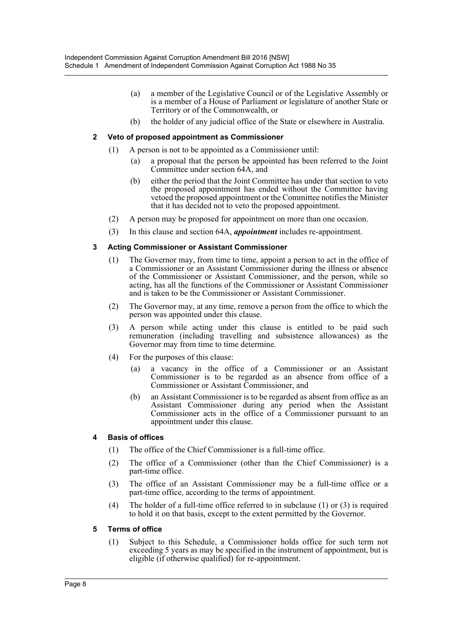- (a) a member of the Legislative Council or of the Legislative Assembly or is a member of a House of Parliament or legislature of another State or Territory or of the Commonwealth, or
- (b) the holder of any judicial office of the State or elsewhere in Australia.

#### **2 Veto of proposed appointment as Commissioner**

- (1) A person is not to be appointed as a Commissioner until:
	- (a) a proposal that the person be appointed has been referred to the Joint Committee under section 64A, and
	- (b) either the period that the Joint Committee has under that section to veto the proposed appointment has ended without the Committee having vetoed the proposed appointment or the Committee notifies the Minister that it has decided not to veto the proposed appointment.
- (2) A person may be proposed for appointment on more than one occasion.
- (3) In this clause and section 64A, *appointment* includes re-appointment.

#### **3 Acting Commissioner or Assistant Commissioner**

- (1) The Governor may, from time to time, appoint a person to act in the office of a Commissioner or an Assistant Commissioner during the illness or absence of the Commissioner or Assistant Commissioner, and the person, while so acting, has all the functions of the Commissioner or Assistant Commissioner and is taken to be the Commissioner or Assistant Commissioner.
- (2) The Governor may, at any time, remove a person from the office to which the person was appointed under this clause.
- (3) A person while acting under this clause is entitled to be paid such remuneration (including travelling and subsistence allowances) as the Governor may from time to time determine.
- (4) For the purposes of this clause:
	- (a) a vacancy in the office of a Commissioner or an Assistant Commissioner is to be regarded as an absence from office of a Commissioner or Assistant Commissioner, and
	- (b) an Assistant Commissioner is to be regarded as absent from office as an Assistant Commissioner during any period when the Assistant Commissioner acts in the office of a Commissioner pursuant to an appointment under this clause.

#### **4 Basis of offices**

- (1) The office of the Chief Commissioner is a full-time office.
- (2) The office of a Commissioner (other than the Chief Commissioner) is a part-time office.
- (3) The office of an Assistant Commissioner may be a full-time office or a part-time office, according to the terms of appointment.
- (4) The holder of a full-time office referred to in subclause (1) or (3) is required to hold it on that basis, except to the extent permitted by the Governor.

#### **5 Terms of office**

(1) Subject to this Schedule, a Commissioner holds office for such term not exceeding 5 years as may be specified in the instrument of appointment, but is eligible (if otherwise qualified) for re-appointment.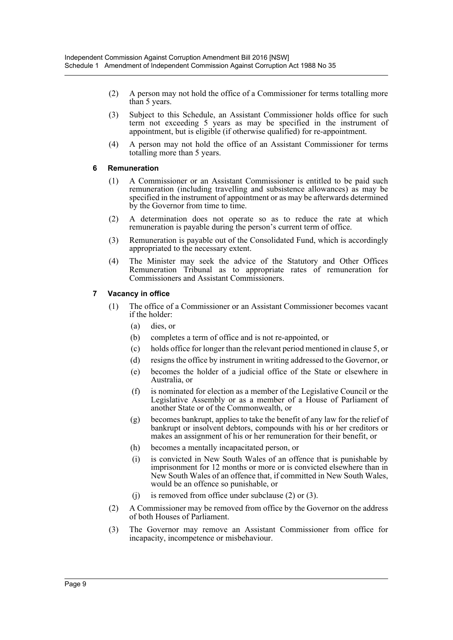- (2) A person may not hold the office of a Commissioner for terms totalling more than 5 years.
- (3) Subject to this Schedule, an Assistant Commissioner holds office for such term not exceeding 5 years as may be specified in the instrument of appointment, but is eligible (if otherwise qualified) for re-appointment.
- (4) A person may not hold the office of an Assistant Commissioner for terms totalling more than 5 years.

#### **6 Remuneration**

- (1) A Commissioner or an Assistant Commissioner is entitled to be paid such remuneration (including travelling and subsistence allowances) as may be specified in the instrument of appointment or as may be afterwards determined by the Governor from time to time.
- (2) A determination does not operate so as to reduce the rate at which remuneration is payable during the person's current term of office.
- (3) Remuneration is payable out of the Consolidated Fund, which is accordingly appropriated to the necessary extent.
- (4) The Minister may seek the advice of the Statutory and Other Offices Remuneration Tribunal as to appropriate rates of remuneration for Commissioners and Assistant Commissioners.

#### **7 Vacancy in office**

- (1) The office of a Commissioner or an Assistant Commissioner becomes vacant if the holder:
	- (a) dies, or
	- (b) completes a term of office and is not re-appointed, or
	- (c) holds office for longer than the relevant period mentioned in clause 5, or
	- (d) resigns the office by instrument in writing addressed to the Governor, or
	- (e) becomes the holder of a judicial office of the State or elsewhere in Australia, or
	- (f) is nominated for election as a member of the Legislative Council or the Legislative Assembly or as a member of a House of Parliament of another State or of the Commonwealth, or
	- (g) becomes bankrupt, applies to take the benefit of any law for the relief of bankrupt or insolvent debtors, compounds with his or her creditors or makes an assignment of his or her remuneration for their benefit, or
	- (h) becomes a mentally incapacitated person, or
	- (i) is convicted in New South Wales of an offence that is punishable by imprisonment for 12 months or more or is convicted elsewhere than in New South Wales of an offence that, if committed in New South Wales, would be an offence so punishable, or
	- (j) is removed from office under subclause (2) or (3).
- (2) A Commissioner may be removed from office by the Governor on the address of both Houses of Parliament.
- (3) The Governor may remove an Assistant Commissioner from office for incapacity, incompetence or misbehaviour.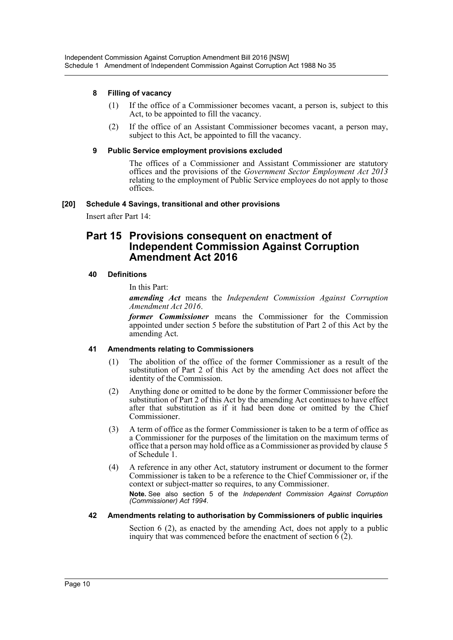#### **8 Filling of vacancy**

- (1) If the office of a Commissioner becomes vacant, a person is, subject to this Act, to be appointed to fill the vacancy.
- (2) If the office of an Assistant Commissioner becomes vacant, a person may, subject to this Act, be appointed to fill the vacancy.

#### **9 Public Service employment provisions excluded**

The offices of a Commissioner and Assistant Commissioner are statutory offices and the provisions of the *Government Sector Employment Act 2013* relating to the employment of Public Service employees do not apply to those offices.

#### **[20] Schedule 4 Savings, transitional and other provisions**

Insert after Part 14:

# **Part 15 Provisions consequent on enactment of Independent Commission Against Corruption Amendment Act 2016**

#### **40 Definitions**

In this Part:

*amending Act* means the *Independent Commission Against Corruption Amendment Act 2016*.

*former Commissioner* means the Commissioner for the Commission appointed under section 5 before the substitution of Part 2 of this Act by the amending Act.

## **41 Amendments relating to Commissioners**

- (1) The abolition of the office of the former Commissioner as a result of the substitution of Part 2 of this Act by the amending Act does not affect the identity of the Commission.
- (2) Anything done or omitted to be done by the former Commissioner before the substitution of Part 2 of this Act by the amending Act continues to have effect after that substitution as if it had been done or omitted by the Chief Commissioner.
- (3) A term of office as the former Commissioner is taken to be a term of office as a Commissioner for the purposes of the limitation on the maximum terms of office that a person may hold office as a Commissioner as provided by clause 5 of Schedule 1.
- (4) A reference in any other Act, statutory instrument or document to the former Commissioner is taken to be a reference to the Chief Commissioner or, if the context or subject-matter so requires, to any Commissioner. **Note.** See also section 5 of the *Independent Commission Against Corruption (Commissioner) Act 1994*.

#### **42 Amendments relating to authorisation by Commissioners of public inquiries**

Section 6 (2), as enacted by the amending Act, does not apply to a public inquiry that was commenced before the enactment of section  $\hat{6}$  (2).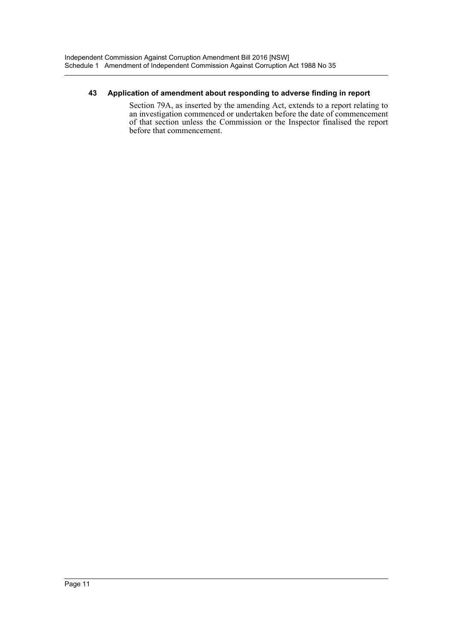#### **43 Application of amendment about responding to adverse finding in report**

Section 79A, as inserted by the amending Act, extends to a report relating to an investigation commenced or undertaken before the date of commencement of that section unless the Commission or the Inspector finalised the report before that commencement.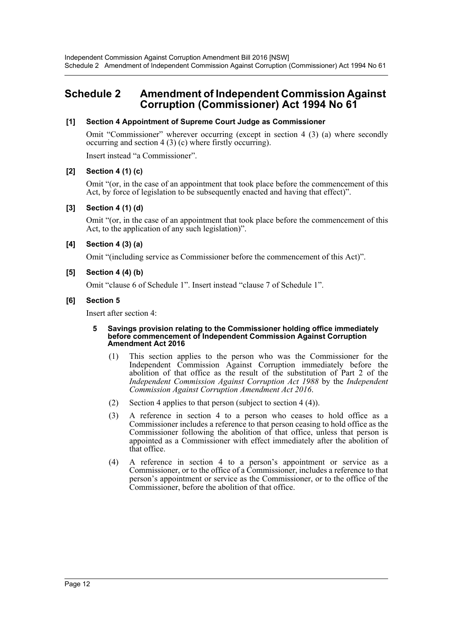# <span id="page-12-0"></span>**Schedule 2 Amendment of Independent Commission Against Corruption (Commissioner) Act 1994 No 61**

#### **[1] Section 4 Appointment of Supreme Court Judge as Commissioner**

Omit "Commissioner" wherever occurring (except in section 4 (3) (a) where secondly occurring and section 4 (3) (c) where firstly occurring).

Insert instead "a Commissioner".

#### **[2] Section 4 (1) (c)**

Omit "(or, in the case of an appointment that took place before the commencement of this Act, by force of legislation to be subsequently enacted and having that effect)".

#### **[3] Section 4 (1) (d)**

Omit "(or, in the case of an appointment that took place before the commencement of this Act, to the application of any such legislation)".

#### **[4] Section 4 (3) (a)**

Omit "(including service as Commissioner before the commencement of this Act)".

#### **[5] Section 4 (4) (b)**

Omit "clause 6 of Schedule 1". Insert instead "clause 7 of Schedule 1".

#### **[6] Section 5**

Insert after section 4:

#### **5 Savings provision relating to the Commissioner holding office immediately before commencement of Independent Commission Against Corruption Amendment Act 2016**

- (1) This section applies to the person who was the Commissioner for the Independent Commission Against Corruption immediately before the abolition of that office as the result of the substitution of Part 2 of the *Independent Commission Against Corruption Act 1988* by the *Independent Commission Against Corruption Amendment Act 2016*.
- (2) Section 4 applies to that person (subject to section 4 (4)).
- (3) A reference in section 4 to a person who ceases to hold office as a Commissioner includes a reference to that person ceasing to hold office as the Commissioner following the abolition of that office, unless that person is appointed as a Commissioner with effect immediately after the abolition of that office.
- (4) A reference in section 4 to a person's appointment or service as a Commissioner, or to the office of a Commissioner, includes a reference to that person's appointment or service as the Commissioner, or to the office of the Commissioner, before the abolition of that office.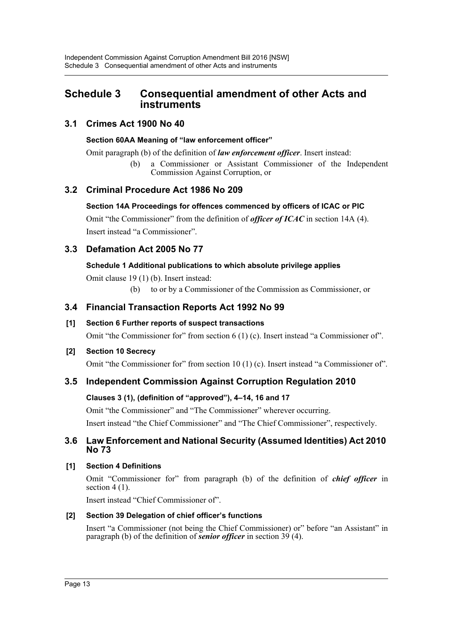# <span id="page-13-0"></span>**Schedule 3 Consequential amendment of other Acts and instruments**

# **3.1 Crimes Act 1900 No 40**

## **Section 60AA Meaning of "law enforcement officer"**

Omit paragraph (b) of the definition of *law enforcement officer*. Insert instead:

(b) a Commissioner or Assistant Commissioner of the Independent Commission Against Corruption, or

# **3.2 Criminal Procedure Act 1986 No 209**

## **Section 14A Proceedings for offences commenced by officers of ICAC or PIC**

Omit "the Commissioner" from the definition of *officer of ICAC* in section 14A (4). Insert instead "a Commissioner".

# **3.3 Defamation Act 2005 No 77**

## **Schedule 1 Additional publications to which absolute privilege applies**

Omit clause 19 (1) (b). Insert instead:

(b) to or by a Commissioner of the Commission as Commissioner, or

# **3.4 Financial Transaction Reports Act 1992 No 99**

# **[1] Section 6 Further reports of suspect transactions**

Omit "the Commissioner for" from section 6 (1) (c). Insert instead "a Commissioner of".

# **[2] Section 10 Secrecy**

Omit "the Commissioner for" from section 10 (1) (c). Insert instead "a Commissioner of".

# **3.5 Independent Commission Against Corruption Regulation 2010**

# **Clauses 3 (1), (definition of "approved"), 4–14, 16 and 17**

Omit "the Commissioner" and "The Commissioner" wherever occurring.

Insert instead "the Chief Commissioner" and "The Chief Commissioner", respectively.

# **3.6 Law Enforcement and National Security (Assumed Identities) Act 2010 No 73**

# **[1] Section 4 Definitions**

Omit "Commissioner for" from paragraph (b) of the definition of *chief officer* in section 4 (1).

Insert instead "Chief Commissioner of".

# **[2] Section 39 Delegation of chief officer's functions**

Insert "a Commissioner (not being the Chief Commissioner) or" before "an Assistant" in paragraph (b) of the definition of *senior officer* in section 39 (4).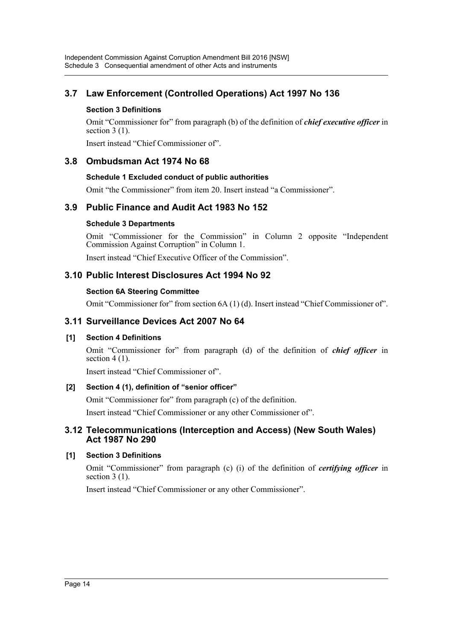# **3.7 Law Enforcement (Controlled Operations) Act 1997 No 136**

## **Section 3 Definitions**

Omit "Commissioner for" from paragraph (b) of the definition of *chief executive officer* in section  $3(1)$ .

Insert instead "Chief Commissioner of".

# **3.8 Ombudsman Act 1974 No 68**

## **Schedule 1 Excluded conduct of public authorities**

Omit "the Commissioner" from item 20. Insert instead "a Commissioner".

# **3.9 Public Finance and Audit Act 1983 No 152**

#### **Schedule 3 Departments**

Omit "Commissioner for the Commission" in Column 2 opposite "Independent Commission Against Corruption" in Column 1.

Insert instead "Chief Executive Officer of the Commission".

# **3.10 Public Interest Disclosures Act 1994 No 92**

#### **Section 6A Steering Committee**

Omit "Commissioner for" from section 6A (1) (d). Insert instead "Chief Commissioner of".

## **3.11 Surveillance Devices Act 2007 No 64**

## **[1] Section 4 Definitions**

Omit "Commissioner for" from paragraph (d) of the definition of *chief officer* in section  $4(1)$ .

Insert instead "Chief Commissioner of".

## **[2] Section 4 (1), definition of "senior officer"**

Omit "Commissioner for" from paragraph (c) of the definition.

Insert instead "Chief Commissioner or any other Commissioner of".

## **3.12 Telecommunications (Interception and Access) (New South Wales) Act 1987 No 290**

## **[1] Section 3 Definitions**

Omit "Commissioner" from paragraph (c) (i) of the definition of *certifying officer* in section  $3(1)$ .

Insert instead "Chief Commissioner or any other Commissioner".